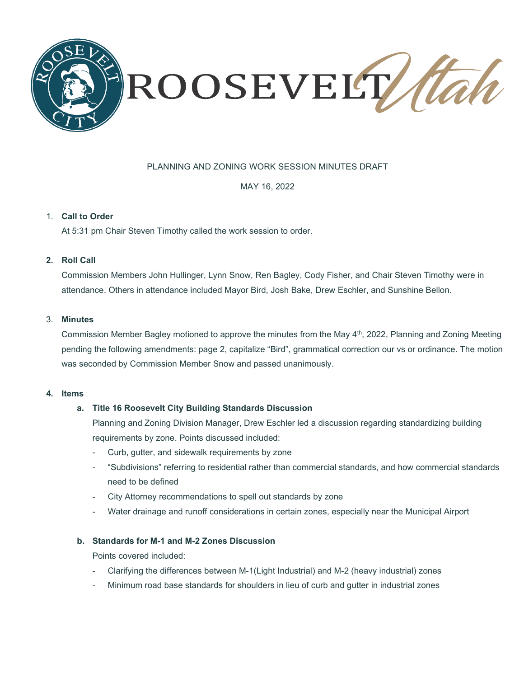

# PLANNING AND ZONING WORK SESSION MINUTES DRAFT

MAY 16, 2022

## 1. **Call to Order**

At 5:31 pm Chair Steven Timothy called the work session to order.

# **2. Roll Call**

Commission Members John Hullinger, Lynn Snow, Ren Bagley, Cody Fisher, and Chair Steven Timothy were in attendance. Others in attendance included Mayor Bird, Josh Bake, Drew Eschler, and Sunshine Bellon.

### 3. **Minutes**

Commission Member Bagley motioned to approve the minutes from the May 4th, 2022, Planning and Zoning Meeting pending the following amendments: page 2, capitalize "Bird", grammatical correction our vs or ordinance. The motion was seconded by Commission Member Snow and passed unanimously.

#### **4. Items**

#### **a. Title 16 Roosevelt City Building Standards Discussion**

Planning and Zoning Division Manager, Drew Eschler led a discussion regarding standardizing building requirements by zone. Points discussed included:

- Curb, gutter, and sidewalk requirements by zone
- "Subdivisions" referring to residential rather than commercial standards, and how commercial standards need to be defined
- City Attorney recommendations to spell out standards by zone
- Water drainage and runoff considerations in certain zones, especially near the Municipal Airport

#### **b. Standards for M-1 and M-2 Zones Discussion**

Points covered included:

- Clarifying the differences between M-1(Light Industrial) and M-2 (heavy industrial) zones
- Minimum road base standards for shoulders in lieu of curb and gutter in industrial zones